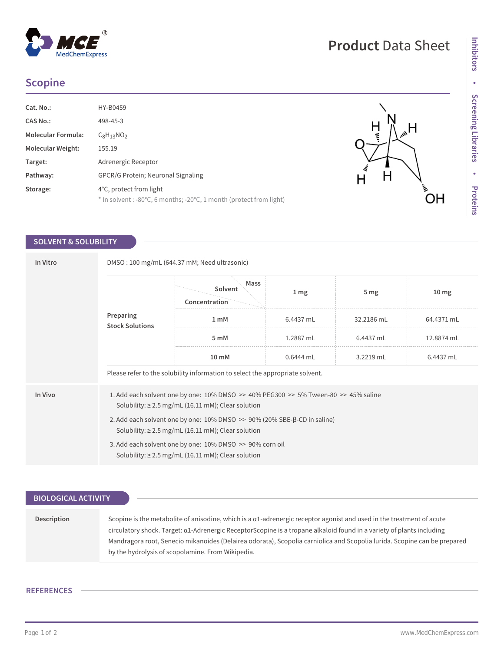# $^{\circledR}$ MedChemExpress

 $H$ 

 $\overline{H}$ 

 $H_{\omega_{\alpha}}$ 

 $\bigcup_{i=1}^{n}$ 

## **Scopine**

| Cat. No.:                 | HY-B0459                                                                                       |
|---------------------------|------------------------------------------------------------------------------------------------|
| <b>CAS No.:</b>           | 498-45-3                                                                                       |
| <b>Molecular Formula:</b> | $C_8H_{13}NO_2$                                                                                |
| <b>Molecular Weight:</b>  | 155.19                                                                                         |
| Target:                   | Adrenergic Receptor                                                                            |
| Pathway:                  | <b>GPCR/G Protein: Neuronal Signaling</b>                                                      |
| Storage:                  | 4°C, protect from light<br>* In solvent : -80°C, 6 months; -20°C, 1 month (protect from light) |

## **SOLVENT & SOLUBILITY**

| In Vitro | DMSO: 100 mg/mL (644.37 mM; Need ultrasonic)                                                                                                                  |                                  |                 |                 |                  |  |  |
|----------|---------------------------------------------------------------------------------------------------------------------------------------------------------------|----------------------------------|-----------------|-----------------|------------------|--|--|
|          | Preparing<br><b>Stock Solutions</b>                                                                                                                           | Mass<br>Solvent<br>Concentration | 1 <sub>mg</sub> | 5 <sub>mg</sub> | 10 <sub>mg</sub> |  |  |
|          |                                                                                                                                                               | 1 mM                             | 6.4437 mL       | 32.2186 mL      | 64.4371 mL       |  |  |
|          |                                                                                                                                                               | 5 mM                             | 1.2887 mL       | 6.4437 mL       | 12.8874 mL       |  |  |
|          |                                                                                                                                                               | 10 mM                            | 0.6444 mL       | 3.2219 mL       | 6.4437 mL        |  |  |
|          | Please refer to the solubility information to select the appropriate solvent.                                                                                 |                                  |                 |                 |                  |  |  |
| In Vivo  | 1. Add each solvent one by one: $10\%$ DMSO $\geq$ 40% PEG300 $\geq$ 5% Tween-80 $\geq$ 45% saline<br>Solubility: $\geq$ 2.5 mg/mL (16.11 mM); Clear solution |                                  |                 |                 |                  |  |  |
|          | 2. Add each solvent one by one: $10\%$ DMSO $\gg$ 90% (20% SBE- $\beta$ -CD in saline)<br>Solubility: $\geq$ 2.5 mg/mL (16.11 mM); Clear solution             |                                  |                 |                 |                  |  |  |
|          | 3. Add each solvent one by one: 10% DMSO >> 90% corn oil<br>Solubility: $\geq$ 2.5 mg/mL (16.11 mM); Clear solution                                           |                                  |                 |                 |                  |  |  |

| <b>BIOLOGICAL ACTIVITY</b> |                                                                                                                                                                                                                                                                                                                                                                                                                                                |  |  |  |
|----------------------------|------------------------------------------------------------------------------------------------------------------------------------------------------------------------------------------------------------------------------------------------------------------------------------------------------------------------------------------------------------------------------------------------------------------------------------------------|--|--|--|
|                            |                                                                                                                                                                                                                                                                                                                                                                                                                                                |  |  |  |
| Description                | Scopine is the metabolite of anisodine, which is a $\alpha$ 1-adrenergic receptor agonist and used in the treatment of acute<br>circulatory shock. Target: $\alpha$ 1-Adrenergic ReceptorScopine is a tropane alkaloid found in a variety of plants including<br>Mandragora root, Senecio mikanoides (Delairea odorata), Scopolia carniolica and Scopolia lurida. Scopine can be prepared<br>by the hydrolysis of scopolamine. From Wikipedia. |  |  |  |

### **REFERENCES**